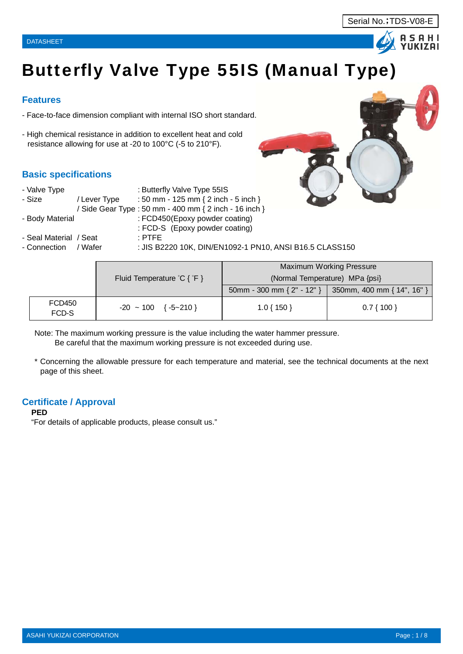



# Butterfly Valve Type 55IS (Manual Type)

### **Features**

- Face-to-face dimension compliant with internal ISO short standard.
- High chemical resistance in addition to excellent heat and cold resistance allowing for use at -20 to 100°C (-5 to 210°F).

### **Basic specifications**

| - Valve Type            |              | : Butterfly Valve Type 55IS                             |
|-------------------------|--------------|---------------------------------------------------------|
| - Size                  | / Lever Type | : 50 mm - 125 mm { 2 inch - 5 inch }                    |
|                         |              | / Side Gear Type : 50 mm - 400 mm { 2 inch - 16 inch }  |
| - Body Material         |              | : FCD450(Epoxy powder coating)                          |
|                         |              | : FCD-S (Epoxy powder coating)                          |
| - Seal Material /Seat . |              | $\pm$ PTFE.                                             |
| - Connection            | / Wafer      | : JIS B2220 10K, DIN/EN1092-1 PN10, ANSI B16.5 CLASS150 |

|                 |                                                   |                                | Maximum Working Pressure   |
|-----------------|---------------------------------------------------|--------------------------------|----------------------------|
|                 | Fluid Temperature ${}^{\circ}C$ { ${}^{\circ}F$ } | (Normal Temperature) MPa {psi} |                            |
|                 |                                                   | 50mm - 300 mm { $2"$ - 12" }   | 350mm, 400 mm { 14", 16" } |
| FCD450<br>FCD-S | $-20 \sim 100 \{ -5 \sim 210 \}$                  | $1.0\{150\}$                   | $0.7\{100\}$               |

Note: The maximum working pressure is the value including the water hammer pressure. Be careful that the maximum working pressure is not exceeded during use.

\* Concerning the allowable pressure for each temperature and material, see the technical documents at the next page of this sheet.

### **Certificate / Approval**

#### **PED**

"For details of applicable products, please consult us."

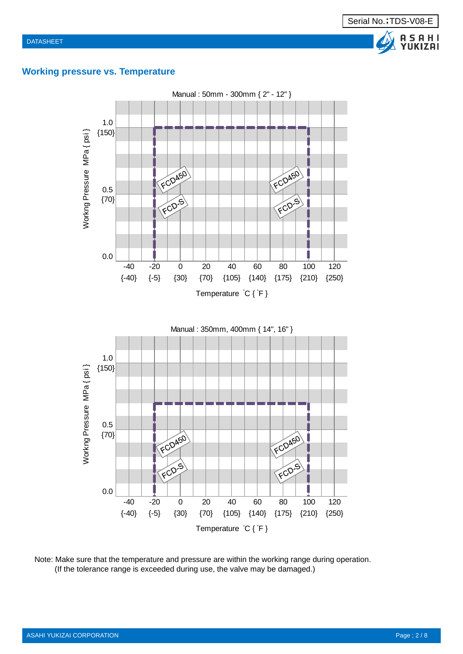### **Working pressure vs. Temperature**



Note: Make sure that the temperature and pressure are within the working range during operation. (If the tolerance range is exceeded during use, the valve may be damaged.)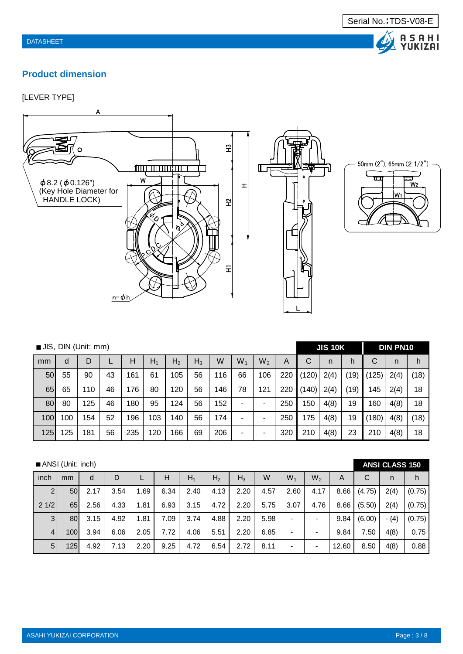# A SAHI<br>Yukizai

# **Product dimension**

### [LEVER TYPE]





|     | JIS, DIN (Unit: mm)<br>$W_1$<br>$W_2$<br>W<br>$H_1$<br>H <sub>2</sub><br>$H_3$<br>Н<br>D<br>d<br>55<br>56<br>116<br>106<br>161<br>61<br>105<br>66<br>50<br>90<br>43<br>65<br>56<br>146<br>78<br>121<br>65<br>110<br>46<br>176<br>80<br>120<br>152<br>56<br>80<br>125<br>180<br>95<br>124<br>80<br>46<br>- |     |    |     |     |     |    |     |   |   |     |       | <b>JIS 10K</b> |      |       | <b>DIN PN10</b> |      |
|-----|-----------------------------------------------------------------------------------------------------------------------------------------------------------------------------------------------------------------------------------------------------------------------------------------------------------|-----|----|-----|-----|-----|----|-----|---|---|-----|-------|----------------|------|-------|-----------------|------|
| mm  |                                                                                                                                                                                                                                                                                                           |     |    |     |     |     |    |     |   |   | A   | C     | n              | h    | С     | n               | h    |
|     |                                                                                                                                                                                                                                                                                                           |     |    |     |     |     |    |     |   |   | 220 | (120) | 2(4)           | (19) | (125) | 2(4)            | (18) |
|     |                                                                                                                                                                                                                                                                                                           |     |    |     |     |     |    |     |   |   | 220 | (140) | 2(4)           | (19) | 145   | 2(4)            | 18   |
|     |                                                                                                                                                                                                                                                                                                           |     |    |     |     |     |    |     |   |   | 250 | 150   | 4(8)           | 19   | 160   | 4(8)            | 18   |
| 100 | 100                                                                                                                                                                                                                                                                                                       | 154 | 52 | 196 | 103 | 140 | 56 | 174 | - | ۰ | 250 | 175   | 4(8)           | 19   | (180) | 4(8)            | (18) |
| 125 | 125                                                                                                                                                                                                                                                                                                       | 181 | 56 | 235 | 120 | 166 | 69 | 206 | ٠ |   | 320 | 210   | 4(8)           | 23   | 210   | 4(8)            | 18   |

|                | ANSI (Unit: inch) |      |      |      |      |       |                |       |      |       |                          |       |        | <b>ANSI CLASS 150</b> |        |
|----------------|-------------------|------|------|------|------|-------|----------------|-------|------|-------|--------------------------|-------|--------|-----------------------|--------|
| inch           | mm                | d    | D    |      | н    | $H_1$ | H <sub>2</sub> | $H_3$ | W    | $W_1$ | W <sub>2</sub>           | A     | С      | n                     | h      |
| $\overline{2}$ | 50                | 2.17 | 3.54 | 1.69 | 6.34 | 2.40  | 4.13           | 2.20  | 4.57 | 2.60  | 4.17                     | 8.66  | (4.75) | 2(4)                  | (0.75) |
| 21/2           | 65                | 2.56 | 4.33 | 1.81 | 6.93 | 3.15  | 4.72           | 2.20  | 5.75 | 3.07  | 4.76                     | 8.66  | (5.50) | 2(4)                  | (0.75) |
| 3 <sup>l</sup> | 80                | 3.15 | 4.92 | 1.81 | 7.09 | 3.74  | 4.88           | 2.20  | 5.98 |       | $\blacksquare$           | 9.84  | (6.00) | $- (4)$               | (0.75) |
| 4 <sup>1</sup> | 100               | 3.94 | 6.06 | 2.05 | 7.72 | 4.06  | 5.51           | 2.20  | 6.85 |       | $\overline{\phantom{0}}$ | 9.84  | 7.50   | 4(8)                  | 0.75   |
| 5 <sub>l</sub> | 125               | 4.92 | 7.13 | 2.20 | 9.25 | 4.72  | 6.54           | 2.72  | 8.11 |       |                          | 12.60 | 8.50   | 4(8)                  | 0.88   |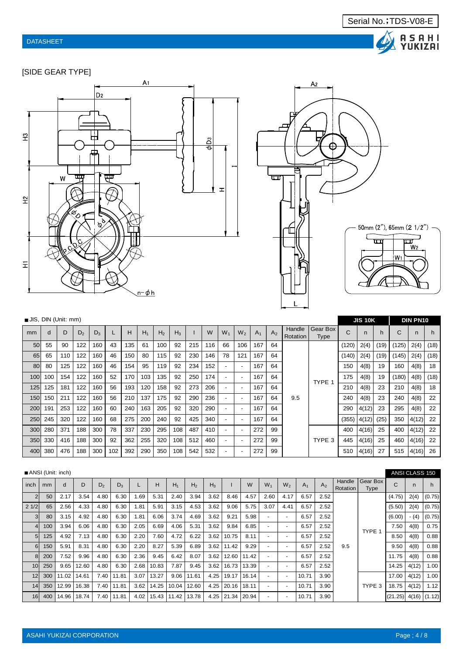

[SIDE GEAR TYPE]





| JIS, DIN (Unit: mm) |     |     |       |       |     |     |       |                |       |     |     |                          |                          |       |                |                    |                         |       | <b>JIS 10K</b> |      |       | <b>DIN PN10</b> |      |
|---------------------|-----|-----|-------|-------|-----|-----|-------|----------------|-------|-----|-----|--------------------------|--------------------------|-------|----------------|--------------------|-------------------------|-------|----------------|------|-------|-----------------|------|
| mm                  | d   | D   | $D_2$ | $D_3$ |     | н   | $H_1$ | H <sub>2</sub> | $H_3$ |     | W   | $W_1$                    | $W_2$                    | $A_1$ | A <sub>2</sub> | Handle<br>Rotation | Gear Box<br><b>Type</b> | C     | n              | h    | C     | n               | h    |
| 50                  | 55  | 90  | 122   | 160   | 43  | 135 | 61    | 100            | 92    | 215 | 116 | 66                       | 106                      | 167   | 64             |                    |                         | (120) | 2(4)           | (19) | (125) | 2(4)            | (18) |
| 65                  | 65  | 110 | 122   | 160   | 46  | 150 | 80    | 115            | 92    | 230 | 146 | 78                       | 121                      | 167   | 64             |                    |                         | (140) | 2(4)           | (19) | (145) | 2(4)            | (18) |
| 80                  | 80  | 125 | 122   | 160   | 46  | 154 | 95    | 119            | 92    | 234 | 152 |                          | $\overline{\phantom{a}}$ | 167   | 64             |                    |                         | 150   | 4(8)           | 19   | 160   | 4(8)            | 18   |
| 100                 | 100 | 154 | 122   | 160   | 52  | 170 | 103   | 135            | 92    | 250 | 174 |                          | $\overline{\phantom{0}}$ | 167   | 64             |                    | TYPE 1                  | 175   | 4(8)           | 19   | (180) | 4(8)            | (18) |
| 125                 | 125 | 181 | 122   | 160   | 56  | 193 | 120   | 158            | 92    | 273 | 206 |                          | $\overline{\phantom{a}}$ | 167   | 64             |                    |                         | 210   | 4(8)           | 23   | 210   | 4(8)            | 18   |
| 150                 | 150 | 211 | 122   | 160   | 56  | 210 | 137   | 175            | 92    | 290 | 236 |                          | $\overline{\phantom{a}}$ | 167   | 64             | 9.5                |                         | 240   | 4(8)           | 23   | 240   | 4(8)            | 22   |
| 200                 | 191 | 253 | 122   | 160   | 60  | 240 | 163   | 205            | 92    | 320 | 290 |                          | $\overline{\phantom{a}}$ | 167   | 64             |                    |                         | 290   | 4(12)          | 23   | 295   | 4(8)            | 22   |
| 250                 | 245 | 320 | 122   | 160   | 68  | 275 | 200   | 240            | 92    | 425 | 340 | $\overline{\phantom{0}}$ | $\overline{\phantom{a}}$ | 167   | 64             |                    |                         | (355) | 4(12)          | (25) | 350   | 4(12)           | 22   |
| 300                 | 280 | 371 | 188   | 300   | 78  | 337 | 230   | 295            | 108   | 487 | 410 |                          |                          | 272   | 99             |                    |                         | 400   | 4(16)          | 25   | 400   | 4(12)           | 22   |
| 350                 | 330 | 416 | 188   | 300   | 92  | 362 | 255   | 320            | 108   | 512 | 460 |                          | $\overline{\phantom{a}}$ | 272   | 99             |                    | TYPE 3                  | 445   | 4(16)          | 25   | 460   | 4(16)           | 22   |
| 400                 | 380 | 476 | 188   | 300   | 102 | 392 | 290   | 350            | 108   | 542 | 532 |                          |                          | 272   | 99             |                    |                         | 510   | 4(16)          | 27   | 515   | 4(16)           | 26   |

|                 |     | ANSI (Unit: inch) |       |                |            |      |                  |       |                |       |       |       |                          |                          |       |                |                    |                         |                        | ANSI CLASS 150 |        |
|-----------------|-----|-------------------|-------|----------------|------------|------|------------------|-------|----------------|-------|-------|-------|--------------------------|--------------------------|-------|----------------|--------------------|-------------------------|------------------------|----------------|--------|
| inch            | mm  | d                 | D     | D <sub>2</sub> | $D_3$      |      | H                | $H_1$ | H <sub>2</sub> | $H_3$ |       | W     | $W_1$                    | W <sub>2</sub>           | $A_1$ | A <sub>2</sub> | Handle<br>Rotation | Gear Box<br><b>Type</b> | Ċ                      | n              | h.     |
| $\overline{2}$  | 50  | 2.17              | 3.54  | 4.80           | 6.30       | 1.69 | 5.31             | 2.40  | 3.94           | 3.62  | 8.46  | 4.57  | 2.60                     | 4.17                     | 6.57  | 2.52           |                    |                         | (4.75)                 | 2(4)           | (0.75) |
| 21/2            | 65  | 2.56              | 4.33  | 4.80           | 6.30       | 1.81 | 5.91             | 3.15  | 4.53           | 3.62  | 9.06  | 5.75  | 3.07                     | 4.41                     | 6.57  | 2.52           |                    |                         | (5.50)                 | 2(4)           | (0.75) |
| 3 <sub>l</sub>  | 80  | 3.15              | 4.92  | 4.80           | 6.30       | 1.81 | 6.06             | 3.74  | 4.69           | 3.62  | 9.21  | 5.98  | $\overline{\phantom{a}}$ |                          | 6.57  | 2.52           |                    |                         | (6.00)                 | - (4)          | (0.75) |
| 4 <sup>1</sup>  | 100 | 3.94              | 6.06  | 4.80           | 6.30       | 2.05 | 6.69             | 4.06  | 5.31           | 3.62  | 9.84  | 6.85  | $\overline{\phantom{0}}$ | $\overline{\phantom{a}}$ | 6.57  | 2.52           |                    | TYPE 1                  | 7.50                   | 4(8)           | 0.75   |
| 5 <sub>5</sub>  | 125 | 4.92              | 7.13  | 4.80           | 6.30       | 2.20 | 7.60             | 4.72  | 6.22           | 3.62  | 10.75 | 8.11  | $\overline{\phantom{a}}$ |                          | 6.57  | 2.52           |                    |                         | 8.50                   | 4(8)           | 0.88   |
| $6 \mid$        | 150 | 5.91              | 8.31  | 4.80           | 6.30       | 2.20 | 8.27             | 5.39  | 6.89           | 3.62  | 11.42 | 9.29  | $\sim$                   | $\overline{\phantom{a}}$ | 6.57  | 2.52           | 9.5                |                         | 9.50                   | 4(8)           | 0.88   |
| 8               | 200 | 7.52              | 9.96  | 4.80           | 6.30       | 2.36 | 9.45             | 6.42  | 8.07           | 3.62  | 12.60 | 11.42 | $\sim$                   |                          | 6.57  | 2.52           |                    |                         | 11.75                  | 4(8)           | 0.88   |
| 10 <sup>1</sup> | 250 | 9.65              | 12.60 | 4.80           | 6.30       | 2.68 | 10.83            | 7.87  | 9.45           | 3.62  | 16.73 | 13.39 | $\blacksquare$           |                          | 6.57  | 2.52           |                    |                         | 14.25                  | 4(12)          | 1.00   |
| 12              | 300 | 11.02             | 14.61 | 7.40           | 11.81      | 3.07 | 13.27            | 9.06  | 11.61          | 4.25  | 19.17 | 16.14 | $\overline{\phantom{a}}$ | $\overline{\phantom{0}}$ | 10.71 | 3.90           |                    |                         | 17.00                  | 4(12)          | 1.00   |
| 14              | 350 | 12.99             | 16.38 | 7.40           | 11.81      | 3.62 | 14.25            | 10.04 | 12.60          | 4.25  | 20.16 | 18.11 | $\overline{\phantom{a}}$ |                          | 10.71 | 3.90           |                    | TYPE 3                  | 18.75                  | 4(12)          | 1.12   |
| 16              |     | 400 14.96         | 18.74 |                | 7.40 11.81 |      | 4.02 15.43 11.42 |       | 13.78          | 4.25  | 21.34 | 20.94 |                          |                          | 10.71 | 3.90           |                    |                         | $(21.25)$ 4(16) (1.12) |                |        |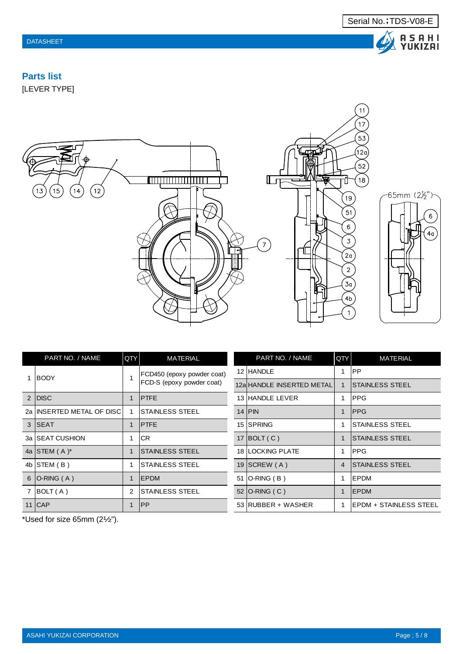$\bf \Delta$  .

A S A H I<br>YUKIZAI

 $\,$  6  $\,$ 

 $4<sub>a</sub>$ 

# **Parts list**

[LEVER TYPE]



|   | PART NO. / NAME            | QTY | <b>MATERIAL</b>            |    | PART NO. / NAME           | QTY            | <b>MATERIAL</b>                |
|---|----------------------------|-----|----------------------------|----|---------------------------|----------------|--------------------------------|
|   | <b>IBODY</b>               |     | FCD450 (epoxy powder coat) |    | 12 HANDLE                 |                | IPP.                           |
|   |                            |     | FCD-S (epoxy powder coat)  |    | 12alHANDLE INSERTED METAL |                | ISTAINLESS STEEL               |
| 2 | <b>IDISC</b>               |     | <b>IPTFE</b>               |    | 13 HANDLE LEVER           | 1              | <b>IPPG</b>                    |
|   | 2a IINSERTED METAL OF DISC |     | ISTAINLESS STEEL           |    | 14 PIN                    | 1              | <b>IPPG</b>                    |
|   | 3 ISEAT                    |     | <b>IPTFE</b>               |    | 15 ISPRING                |                | <b>ISTAINLESS STEEL</b>        |
|   | 3a ISEAT CUSHION           | 1   | <b>CR</b>                  |    | 17 $ BOLT(C) $            |                | <b>STAINLESS STEEL</b>         |
|   | 4a STEM $(A)$ <sup>*</sup> |     | ISTAINLESS STEEL           |    | <b>18 ILOCKING PLATE</b>  | 1              | <b>IPPG</b>                    |
|   | 4b $STEM(B)$               |     | ISTAINLESS STEEL           |    | 19 $ SCREW(A) $           | $\overline{4}$ | <b>ISTAINLESS STEEL</b>        |
|   | 6 $O-RING(A)$              | 1   | <b>IEPDM</b>               | 51 | $O-RING(B)$               | 1              | <b>IEPDM</b>                   |
|   | BOLT(A)                    | 2   | ISTAINLESS STEEL           |    | 52 O-RING $(C)$           | 1              | <b>IEPDM</b>                   |
|   | 11 ICAP                    |     | <b>IPP</b>                 |    | 53 RUBBER + WASHER        | 1              | <b>IEPDM + STAINLESS STEEL</b> |

\*Used for size 65mm (2½").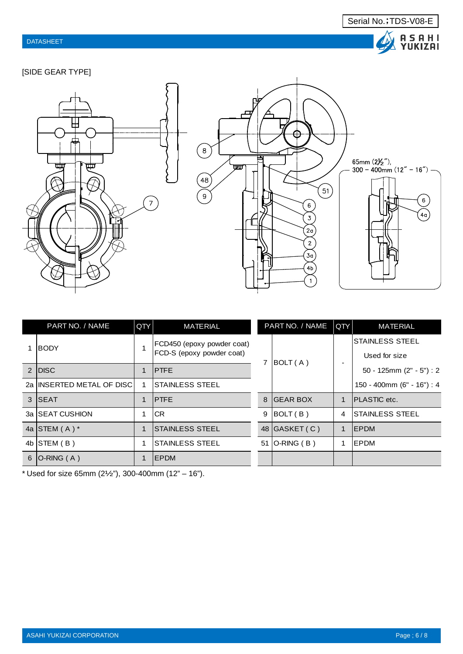

### [SIDE GEAR TYPE]





|               | PART NO. / NAME             | QTY | <b>MATERIAL</b>            |    | PART NO. / NAME  | QTY | <b>MATERIAL</b>               |
|---------------|-----------------------------|-----|----------------------------|----|------------------|-----|-------------------------------|
|               | <b>IBODY</b>                |     | FCD450 (epoxy powder coat) |    |                  |     | <b>STAINLESS STEEL</b>        |
|               |                             |     | FCD-S (epoxy powder coat)  |    | BOLT (A)         |     | Used for size                 |
| $\mathcal{P}$ | <b>IDISC</b>                |     | <b>IPTFE</b>               |    |                  |     | 50 - 125mm $(2" - 5") : 2$    |
|               | 2a IINSERTED METAL OF DISCI |     | <b>STAINLESS STEEL</b>     |    |                  |     | $150 - 400$ mm (6" - 16") : 4 |
|               | 3 ISEAT                     |     | <b>IPTFE</b>               | 8  | <b>IGEAR BOX</b> | 1   | <b>IPLASTIC</b> etc.          |
|               | 3a ISEAT CUSHION            |     | ICR                        | 9  | BOLT(B)          | 4   | <b>STAINLESS STEEL</b>        |
|               | 4a STEM $(A)$ *             |     | ISTAINLESS STEEL           |    | 48 GASKET (C)    | 1   | <b>IEPDM</b>                  |
| 4b            | ISTEM(B)                    |     | <b>ISTAINLESS STEEL</b>    | 51 | $O-RING(B)$      |     | <b>IEPDM</b>                  |
| 6             | $ O-RING(A) $               |     | <b>IEPDM</b>               |    |                  |     |                               |

\* Used for size 65mm  $(2\frac{1}{2}\%)$ , 300-400mm  $(12" - 16")$ .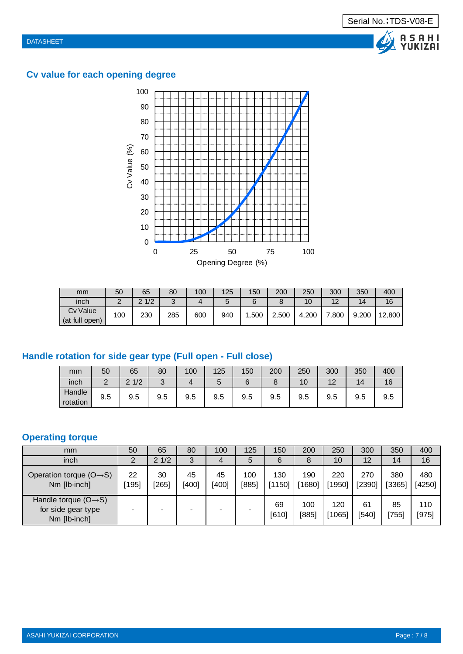Λ





| mm                         | 50         | 65            | 80              | 100 | 125    | 150  | 200   | 250   | 300               | 350   | 400    |
|----------------------------|------------|---------------|-----------------|-----|--------|------|-------|-------|-------------------|-------|--------|
| inch                       | $\sqrt{ }$ | 1/2<br>$\sim$ | $\sqrt{ }$<br>ັ |     | ∽<br>ັ | ⌒    |       | 10    | $\overline{1}$    | 14    | 16     |
| Cv Value<br>(at full open) | 100        | 230           | 285             | 600 | 940    | .500 | 2.500 | 4.200 | $^{\prime}\!.800$ | 9,200 | 12,800 |

# **Handle rotation for side gear type (Full open - Full close)**

| mm                 | 50  | 65                     | 80              | 100 | 125 | 150 | 200 | 250                  | 300       | 350      | 400 |
|--------------------|-----|------------------------|-----------------|-----|-----|-----|-----|----------------------|-----------|----------|-----|
| inch               | ◠   | 1/2<br>$\Omega$<br>1/L | $\sqrt{2}$<br>๛ |     | ັ   |     |     | $\overline{ }$<br>١U | 12<br>$-$ | и.<br>14 | 16  |
| Handle<br>rotation | 9.5 | 9.5                    | 9.5             | 9.5 | 9.5 | 9.5 | 9.5 | 9.5                  | 9.5       | 9.5      | 9.5 |

## **Operating torque**

| mm                                                                      | 50        | 65          | 80          | 100         | 125          | 150           | 200           | 250             | 300           | 350           | 400             |
|-------------------------------------------------------------------------|-----------|-------------|-------------|-------------|--------------|---------------|---------------|-----------------|---------------|---------------|-----------------|
| inch                                                                    |           | 21/2        | 3           |             | 5            | 6             | Õ             | 10 <sup>°</sup> | 12            | 14            | 16              |
| Operation torque $(O \rightarrow S)$<br>Nm [lb-inch]                    | 22<br>195 | 30<br>[265] | 45<br>[400] | 45<br>[400] | 100<br>[885] | 130<br>[1150] | 190<br>[1680] | 220<br>[1950]   | 270<br>[2390] | 380<br>[3365] | 480<br>$[4250]$ |
| Handle torque $(O \rightarrow S)$<br>for side gear type<br>Nm [lb-inch] |           |             |             |             |              | 69<br>[610]   | 100<br>[885]  | 120<br>1065     | 61<br>[540]   | 85<br>755)    | 110<br>[975]    |